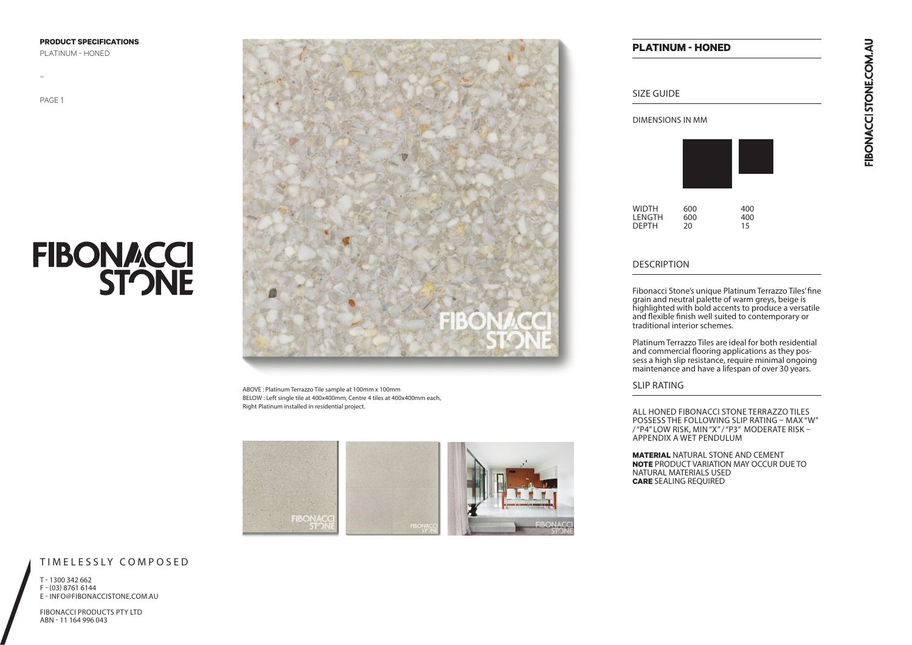**PRODUCT SPECIFICATIONS** 

PLATINUM - HONED

PAGE 1

–

# **FIBONACCI**<br>STONE



ABOVE : Platinum Terrazzo Tile sample at 100mm x 100mm BELOW : Left single tile at 400x400mm, Centre 4 tiles at 400x400mm each, Right Platinum installed in residential project.



# **PLATINUM - HONED**

## SIZE GUIDE

#### DIMENSIONS IN MM

| <b>WIDTH</b> | 600 | 400 |  |
|--------------|-----|-----|--|
| LENGTH       | 600 | 400 |  |
| <b>DEPTH</b> | 20  | 15  |  |

#### DESCRIPTION

Fibonacci Stone's unique Platinum Terrazzo Tiles' fine grain and neutral palette of warm greys, beige is highlighted with bold accents to produce a versatile and flexible finish well suited to contemporary or traditional interior schemes.

Platinum Terrazzo Tiles are ideal for both residential and commercial flooring applications as they possess a high slip resistance, require minimal ongoing maintenance and have a lifespan of over 30 years.

#### SLIP RATING

ALL HONED FIBONACCI STONE TERRAZZO TILES POSSESS THE FOLLOWING SLIP RATING – MAX "W" / "P4" LOW RISK, MIN "X" / "P3" MODERATE RISK – APPENDIX A WET PENDULUM

**MATERIAL** NATURAL STONE AND CEMENT **NOTE** PRODUCT VARIATION MAY OCCUR DUE TO NATURAL MATERIALS USED **CARE** SEALING REQUIRED

### TIMELESSLY COMPOSED

T - 1300 342 662 F - (03) 8761 6144 E - INFO@FIBONACCISTONE.COM.AU

FIBONACCI PRODUCTS PTY LTD ABN - 11 164 996 043